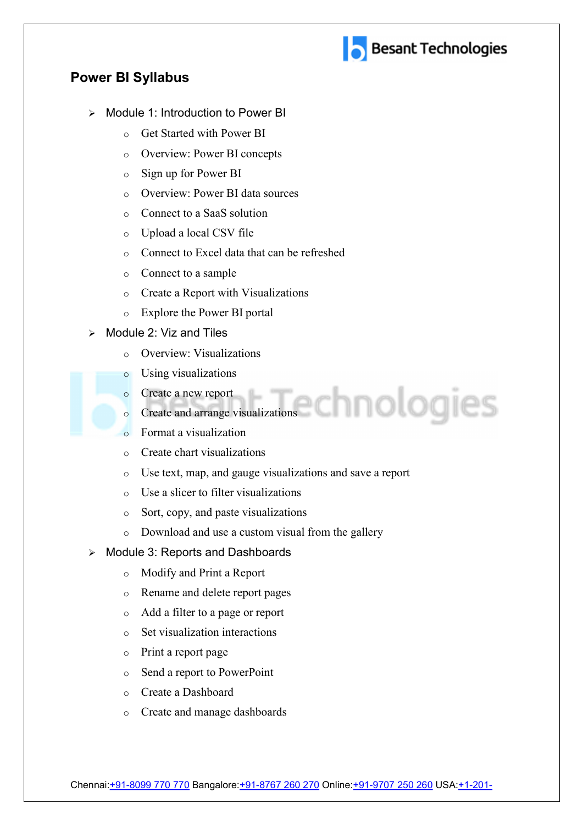

## Power BI Syllabus

- $\triangleright$  Module 1: Introduction to Power BI
	- o Get Started with Power BI
	- o Overview: Power BI concepts
	- o Sign up for Power BI
	- o Overview: Power BI data sources
	- o Connect to a SaaS solution
	- o Upload a local CSV file
	- o Connect to Excel data that can be refreshed
	- o Connect to a sample
	- o Create a Report with Visualizations
	- o Explore the Power BI portal
- Module 2: Viz and Tiles
	- o Overview: Visualizations
	- o Using visualizations
	- o Create a new report
	- o Create and arrange visualizations
	- o Format a visualization
	- o Create chart visualizations
	- o Use text, map, and gauge visualizations and save a report
	- o Use a slicer to filter visualizations
	- o Sort, copy, and paste visualizations
	- o Download and use a custom visual from the gallery
- Module 3: Reports and Dashboards
	- o Modify and Print a Report
	- o Rename and delete report pages
	- o Add a filter to a page or report
	- o Set visualization interactions
	- o Print a report page
	- o Send a report to PowerPoint
	- o Create a Dashboard
	- o Create and manage dashboards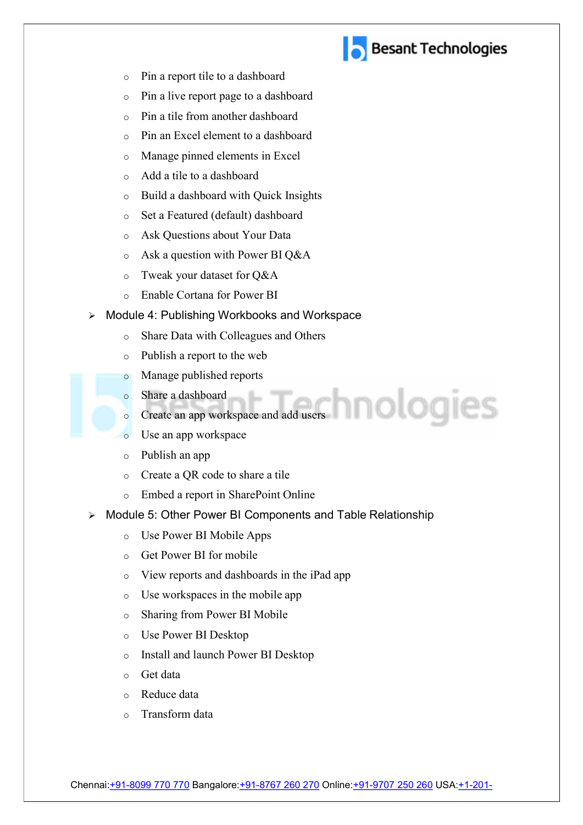

- o Pin a report tile to a dashboard
- o Pin a live report page to a dashboard
- o Pin a tile from another dashboard
- o Pin an Excel element to a dashboard
- o Manage pinned elements in Excel
- o Add a tile to a dashboard
- o Build a dashboard with Quick Insights
- o Set a Featured (default) dashboard
- o Ask Questions about Your Data
- o Ask a question with Power BI Q&A
- o Tweak your dataset for Q&A
- o Enable Cortana for Power BI
- ▶ Module 4: Publishing Workbooks and Workspace
	- o Share Data with Colleagues and Others
	- o Publish a report to the web
	- o Manage published reports
	- o Share a dashboard
	- o Create an app workspace and add users
	- o Use an app workspace
	- o Publish an app
	- o Create a QR code to share a tile
	- o Embed a report in SharePoint Online
- ▶ Module 5: Other Power BI Components and Table Relationship
	- o Use Power BI Mobile Apps
	- o Get Power BI for mobile
	- o View reports and dashboards in the iPad app
	- o Use workspaces in the mobile app
	- o Sharing from Power BI Mobile
	- o Use Power BI Desktop
	- o Install and launch Power BI Desktop
	- o Get data
	- o Reduce data
	- o Transform data